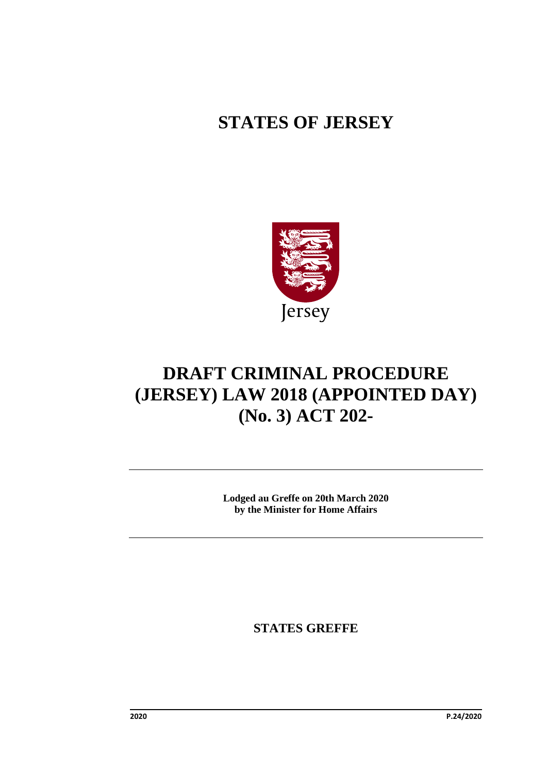## **STATES OF JERSEY**



# **DRAFT CRIMINAL PROCEDURE (JERSEY) LAW 2018 (APPOINTED DAY) (No. 3) ACT 202-**

**Lodged au Greffe on 20th March 2020 by the Minister for Home Affairs**

**STATES GREFFE**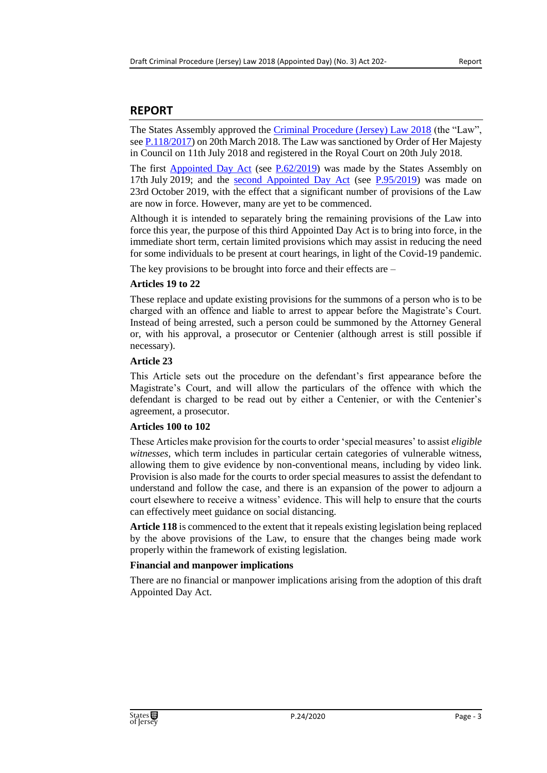#### **REPORT**

The States Assembly approved the [Criminal Procedure \(Jersey\) Law 2018](https://www.jerseylaw.je/laws/enacted/Pages/L-25-2018.aspx) (the "Law", see [P.118/2017\)](https://statesassembly.gov.je/Pages/Propositions.aspx?ref=P.118/2017&refurl=%2fPages%2fPropositions.aspx%3fdocumentref%3dP.118%2f2017) on 20th March 2018. The Law was sanctioned by Order of Her Majesty in Council on 11th July 2018 and registered in the Royal Court on 20th July 2018.

The first [Appointed Day Act](https://www.jerseylaw.je/laws/enacted/Pages/RO-061-2019.aspx) (see [P.62/2019\)](https://statesassembly.gov.je/Pages/Propositions.aspx?ref=P.62/2019&refurl=%2fPages%2fPropositions.aspx%3fdocumentref%3dP.62%2f2019) was made by the States Assembly on 17th July 2019; and the [second Appointed Day Act](https://www.jerseylaw.je/laws/enacted/Pages/RO-110-2019.aspx) (see [P.95/2019\)](https://statesassembly.gov.je/Pages/Propositions.aspx?ref=P.95/2019&refurl=%2fPages%2fPropositions.aspx%3fdocumentref%3dP.95%2f2019) was made on 23rd October 2019, with the effect that a significant number of provisions of the Law are now in force. However, many are yet to be commenced.

Although it is intended to separately bring the remaining provisions of the Law into force this year, the purpose of this third Appointed Day Act is to bring into force, in the immediate short term, certain limited provisions which may assist in reducing the need for some individuals to be present at court hearings, in light of the Covid-19 pandemic.

The key provisions to be brought into force and their effects are –

#### **Articles 19 to 22**

These replace and update existing provisions for the summons of a person who is to be charged with an offence and liable to arrest to appear before the Magistrate's Court. Instead of being arrested, such a person could be summoned by the Attorney General or, with his approval, a prosecutor or Centenier (although arrest is still possible if necessary).

#### **Article 23**

This Article sets out the procedure on the defendant's first appearance before the Magistrate's Court, and will allow the particulars of the offence with which the defendant is charged to be read out by either a Centenier, or with the Centenier's agreement, a prosecutor.

#### **Articles 100 to 102**

These Articles make provision for the courts to order 'special measures' to assist *eligible witnesses*, which term includes in particular certain categories of vulnerable witness, allowing them to give evidence by non-conventional means, including by video link. Provision is also made for the courts to order special measures to assist the defendant to understand and follow the case, and there is an expansion of the power to adjourn a court elsewhere to receive a witness' evidence. This will help to ensure that the courts can effectively meet guidance on social distancing.

**Article 118** is commenced to the extent that it repeals existing legislation being replaced by the above provisions of the Law, to ensure that the changes being made work properly within the framework of existing legislation.

#### **Financial and manpower implications**

There are no financial or manpower implications arising from the adoption of this draft Appointed Day Act.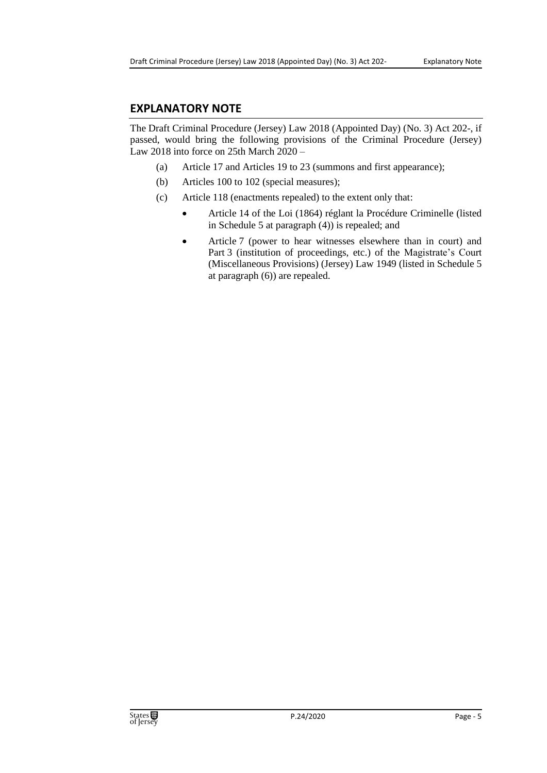#### **EXPLANATORY NOTE**

The Draft Criminal Procedure (Jersey) Law 2018 (Appointed Day) (No. 3) Act 202-, if passed, would bring the following provisions of the Criminal Procedure (Jersey) Law 2018 into force on 25th March 2020 –

- (a) Article 17 and Articles 19 to 23 (summons and first appearance);
- (b) Articles 100 to 102 (special measures);
- (c) Article 118 (enactments repealed) to the extent only that:
	- Article 14 of the Loi (1864) réglant la Procédure Criminelle (listed in Schedule 5 at paragraph (4)) is repealed; and
	- Article 7 (power to hear witnesses elsewhere than in court) and Part 3 (institution of proceedings, etc.) of the Magistrate's Court (Miscellaneous Provisions) (Jersey) Law 1949 (listed in Schedule 5 at paragraph (6)) are repealed.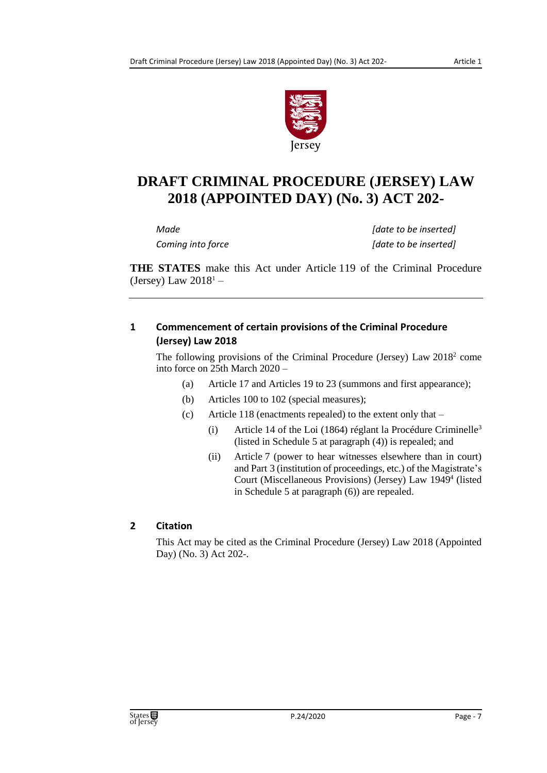

### **DRAFT CRIMINAL PROCEDURE (JERSEY) LAW 2018 (APPOINTED DAY) (No. 3) ACT 202-**

*Made [date to be inserted] Coming into force [date to be inserted]*

**THE STATES** make this Act under Article 119 of the Criminal Procedure (Jersey) Law  $2018<sup>1</sup>$  –

#### **1 Commencement of certain provisions of the Criminal Procedure (Jersey) Law 2018**

The following provisions of the Criminal Procedure (Jersey) Law  $2018<sup>2</sup>$  come into force on 25th March 2020 –

- (a) Article 17 and Articles 19 to 23 (summons and first appearance);
- (b) Articles 100 to 102 (special measures);
- (c) Article 118 (enactments repealed) to the extent only that
	- (i) Article 14 of the Loi (1864) réglant la Procédure Criminelle<sup>3</sup> (listed in Schedule 5 at paragraph (4)) is repealed; and
	- (ii) Article 7 (power to hear witnesses elsewhere than in court) and Part 3 (institution of proceedings, etc.) of the Magistrate's Court (Miscellaneous Provisions) (Jersey) Law 1949<sup>4</sup> (listed in Schedule 5 at paragraph (6)) are repealed.

#### **2 Citation**

This Act may be cited as the Criminal Procedure (Jersey) Law 2018 (Appointed Day) (No. 3) Act 202-.